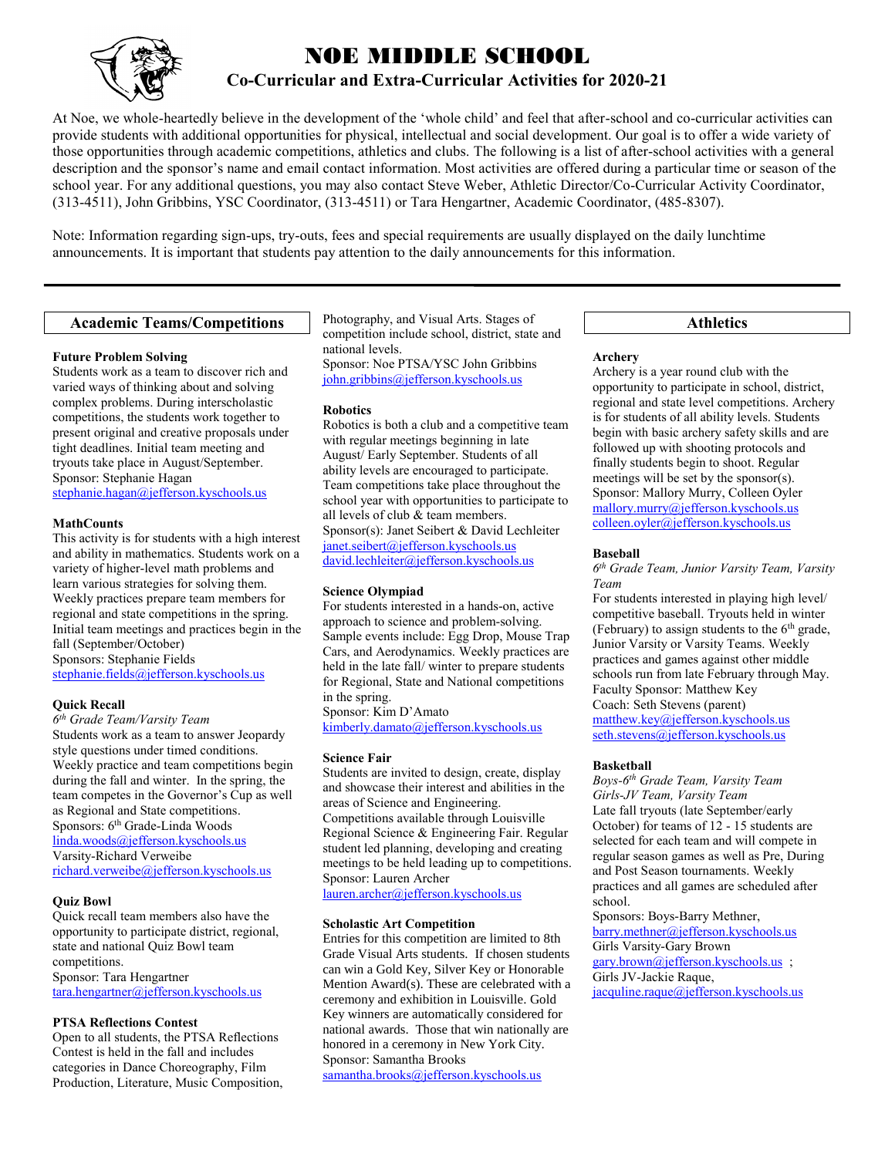

# NOE MIDDLE SCHOOL **Co-Curricular and Extra-Curricular Activities for 2020-21**

At Noe, we whole-heartedly believe in the development of the 'whole child' and feel that after-school and co-curricular activities can provide students with additional opportunities for physical, intellectual and social development. Our goal is to offer a wide variety of those opportunities through academic competitions, athletics and clubs. The following is a list of after-school activities with a general description and the sponsor's name and email contact information. Most activities are offered during a particular time or season of the school year. For any additional questions, you may also contact Steve Weber, Athletic Director/Co-Curricular Activity Coordinator, (313-4511), John Gribbins, YSC Coordinator, (313-4511) or Tara Hengartner, Academic Coordinator, (485-8307).

Note: Information regarding sign-ups, try-outs, fees and special requirements are usually displayed on the daily lunchtime announcements. It is important that students pay attention to the daily announcements for this information.

# **Academic Teams/Competitions**

# **Future Problem Solving**

Students work as a team to discover rich and varied ways of thinking about and solving complex problems. During interscholastic competitions, the students work together to present original and creative proposals under tight deadlines. Initial team meeting and tryouts take place in August/September. Sponsor: Stephanie Hagan [stephanie.hagan@jefferson.kyschools.us](mailto:stephanie.hagan@jefferson.kyschools.us)

### **MathCounts**

This activity is for students with a high interest and ability in mathematics. Students work on a variety of higher-level math problems and learn various strategies for solving them. Weekly practices prepare team members for regional and state competitions in the spring. Initial team meetings and practices begin in the fall (September/October) Sponsors: Stephanie Fields [stephanie.fields@jefferson.kyschools.us](mailto:stephanie.fields@jefferson.kyschools.us)

# **Quick Recall**

*6 th Grade Team/Varsity Team* Students work as a team to answer Jeopardy style questions under timed conditions. Weekly practice and team competitions begin during the fall and winter. In the spring, the team competes in the Governor's Cup as well as Regional and State competitions. Sponsors: 6<sup>th</sup> Grade-Linda Woods [linda.woods@jefferson.kyschools.us](mailto:linda.woods@jefferson.kyschools.us) Varsity-Richard Verweibe [richard.verweibe@jefferson.kyschools.us](mailto:richard.verweibe@jefferson.kyschools.us)

# **Quiz Bowl**

Quick recall team members also have the opportunity to participate district, regional, state and national Quiz Bowl team competitions. Sponsor: Tara Hengartner [tara.hengartner@jefferson.kyschools.us](mailto:tara.hengartner@jefferson.kyschools.us)

# **PTSA Reflections Contest**

Open to all students, the PTSA Reflections Contest is held in the fall and includes categories in Dance Choreography, Film Production, Literature, Music Composition, Photography, and Visual Arts. Stages of competition include school, district, state and national levels. Sponsor: Noe PTSA/YSC John Gribbins [john.gribbins@jefferson.kyschools.us](mailto:john.gribbins@jefferson.kyschools.us)

# **Robotics**

Robotics is both a club and a competitive team with regular meetings beginning in late August/ Early September. Students of all ability levels are encouraged to participate. Team competitions take place throughout the school year with opportunities to participate to all levels of club & team members. Sponsor(s): Janet Seibert & David Lechleiter [janet.seibert@jefferson.kyschools.us](mailto:janet.seibert@jefferson.kyschools.us) [david.lechleiter@jefferson.kyschools.us](mailto:david.lechleiter@jefferson.kyschools.us)

# **Science Olympiad**

For students interested in a hands-on, active approach to science and problem-solving. Sample events include: Egg Drop, Mouse Trap Cars, and Aerodynamics. Weekly practices are held in the late fall/ winter to prepare students for Regional, State and National competitions in the spring.

Sponsor: Kim D'Amato [kimberly.damato@jefferson.kyschools.us](mailto:kimberly.damato@jefferson.kyschools.us)

#### **Science Fair**

Students are invited to design, create, display and showcase their interest and abilities in the areas of Science and Engineering. Competitions available through Louisville Regional Science & Engineering Fair. Regular student led planning, developing and creating meetings to be held leading up to competitions. Sponsor: Lauren Archer [lauren.archer@jefferson.kyschools.us](mailto:lauren.archer@jefferson.kyschools.us) 

# **Scholastic Art Competition**

Entries for this competition are limited to 8th Grade Visual Arts students. If chosen students can win a Gold Key, Silver Key or Honorable Mention Award(s). These are celebrated with a ceremony and exhibition in Louisville. Gold Key winners are automatically considered for national awards. Those that win nationally are honored in a ceremony in New York City. Sponsor: Samantha Brooks [samantha.brooks@jefferson.kyschools.us](mailto:samantha.brooks@jefferson.kyschools.us)

# **Athletics**

### **Archery**

Archery is a year round club with the opportunity to participate in school, district, regional and state level competitions. Archery is for students of all ability levels. Students begin with basic archery safety skills and are followed up with shooting protocols and finally students begin to shoot. Regular meetings will be set by the sponsor(s). Sponsor: Mallory Murry, Colleen Oyler [mallory.murry@jefferson.kyschools.us](mailto:mallory.murry@jefferson.kyschools.us) [colleen.oyler@jefferson.kyschools.us](mailto:colleen.oyler@jefferson.kyschools.us)

### **Baseball**

*6 th Grade Team, Junior Varsity Team, Varsity Team*

For students interested in playing high level/ competitive baseball. Tryouts held in winter (February) to assign students to the  $6<sup>th</sup>$  grade, Junior Varsity or Varsity Teams. Weekly practices and games against other middle schools run from late February through May. Faculty Sponsor: Matthew Key Coach: Seth Stevens (parent) [matthew.key@jefferson.kyschools.us](mailto:matthew.key@jefferson.kyschools.us) [seth.stevens@jefferson.kyschools.us](mailto:seth.stevens@jefferson.kyschools.us)

# **Basketball**

*Boys-6 th Grade Team, Varsity Team Girls-JV Team, Varsity Team* Late fall tryouts (late September/early October) for teams of 12 - 15 students are selected for each team and will compete in regular season games as well as Pre, During and Post Season tournaments. Weekly practices and all games are scheduled after school.

Sponsors: Boys-Barry Methner, [barry.methner@jefferson.kyschools.us](mailto:barry.methner@jefferson.kyschools.us) Girls Varsity-Gary Brown [gary.brown@jefferson.kyschools.us](mailto:gary.brown@jefferson.kyschools.us) ; Girls JV-Jackie Raque, [jacquline.raque@jefferson.kyschools.us](mailto:jacquline.raque@jefferson.kyschools.us)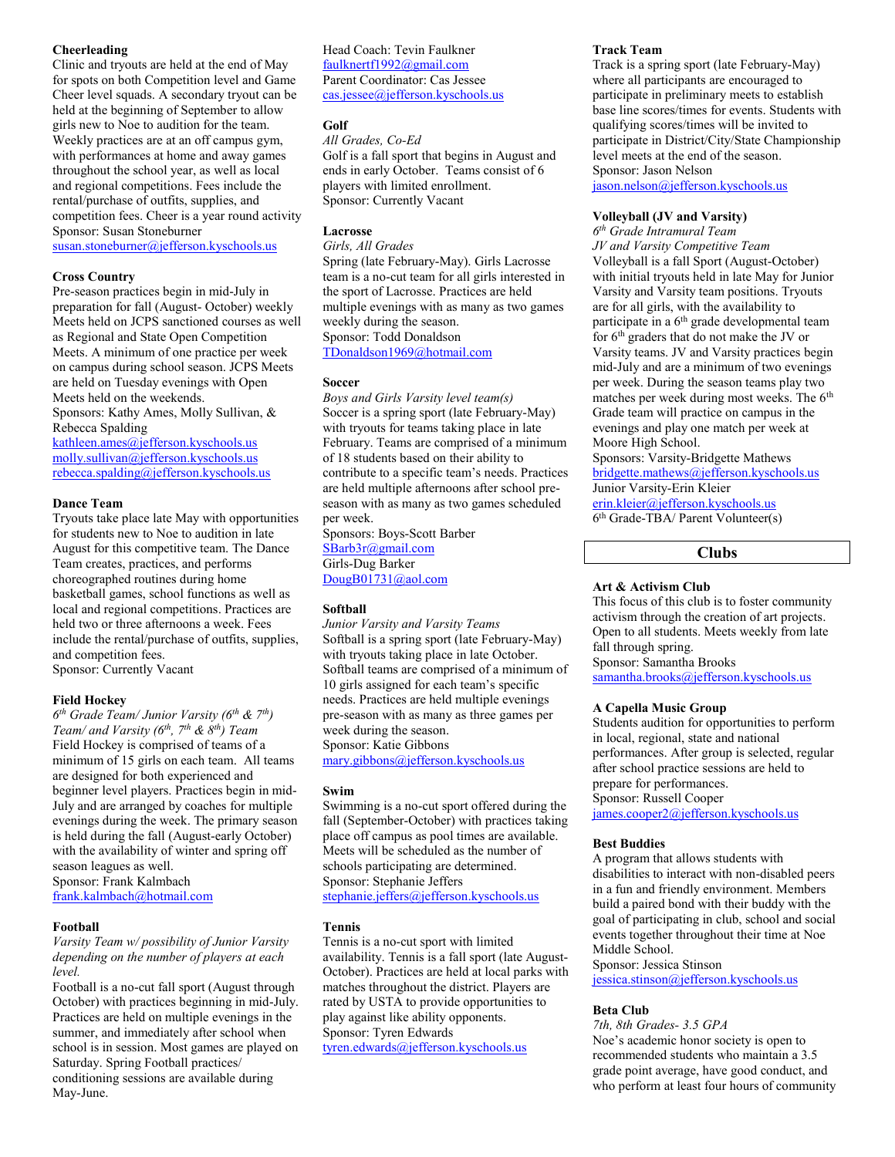# **Cheerleading**

Clinic and tryouts are held at the end of May for spots on both Competition level and Game Cheer level squads. A secondary tryout can be held at the beginning of September to allow girls new to Noe to audition for the team. Weekly practices are at an off campus gym, with performances at home and away games throughout the school year, as well as local and regional competitions. Fees include the rental/purchase of outfits, supplies, and competition fees. Cheer is a year round activity Sponsor: Susan Stoneburner

[susan.stoneburner@jefferson.kyschools.us](mailto:susan.stoneburner@jefferson.kyschools.us)

### **Cross Country**

Pre-season practices begin in mid-July in preparation for fall (August- October) weekly Meets held on JCPS sanctioned courses as well as Regional and State Open Competition Meets. A minimum of one practice per week on campus during school season. JCPS Meets are held on Tuesday evenings with Open Meets held on the weekends.

Sponsors: Kathy Ames, Molly Sullivan, & Rebecca Spalding

[kathleen.ames@jefferson.kyschools.us](mailto:kathleen.ames@jefferson.kyschools.us) [molly.sullivan@jefferson.kyschools.us](mailto:molly.sullivan@jefferson.kyschools.us) [rebecca.spalding@jefferson.kyschools.us](mailto:rebecca.spalding@jefferson.kyschools.us)

### **Dance Team**

Tryouts take place late May with opportunities for students new to Noe to audition in late August for this competitive team. The Dance Team creates, practices, and performs choreographed routines during home basketball games, school functions as well as local and regional competitions. Practices are held two or three afternoons a week. Fees include the rental/purchase of outfits, supplies, and competition fees. Sponsor: Currently Vacant

#### **Field Hockey**

*6 th Grade Team/ Junior Varsity (6th & 7th) Team/ and Varsity (6th, 7th & 8th) Team* Field Hockey is comprised of teams of a minimum of 15 girls on each team. All teams are designed for both experienced and beginner level players. Practices begin in mid-July and are arranged by coaches for multiple evenings during the week. The primary season is held during the fall (August-early October) with the availability of winter and spring off season leagues as well. Sponsor: Frank Kalmbach [frank.kalmbach@hotmail.com](mailto:frank.kalmbach@hotmail.com)

#### **Football**

*Varsity Team w/ possibility of Junior Varsity depending on the number of players at each level.*

Football is a no-cut fall sport (August through October) with practices beginning in mid-July. Practices are held on multiple evenings in the summer, and immediately after school when school is in session. Most games are played on Saturday. Spring Football practices/ conditioning sessions are available during May-June.

Head Coach: Tevin Faulkner [faulknertf1992@gmail.com](mailto:faulknertf1992@gmail.com) Parent Coordinator: Cas Jessee [cas.jessee@jefferson.kyschools.us](mailto:cas.jessee@jefferson.kyschools.us)

# **Golf**

*All Grades, Co-Ed* Golf is a fall sport that begins in August and ends in early October. Teams consist of 6 players with limited enrollment. Sponsor: Currently Vacant

# **Lacrosse**

*Girls, All Grades*

Spring (late February-May). Girls Lacrosse team is a no-cut team for all girls interested in the sport of Lacrosse. Practices are held multiple evenings with as many as two games weekly during the season. Sponsor: Todd Donaldson [TDonaldson1969@hotmail.com](mailto:TDonaldson1969@hotmail.com)

**Soccer**

*Boys and Girls Varsity level team(s)* Soccer is a spring sport (late February-May) with tryouts for teams taking place in late February. Teams are comprised of a minimum of 18 students based on their ability to contribute to a specific team's needs. Practices are held multiple afternoons after school preseason with as many as two games scheduled per week.

Sponsors: Boys-Scott Barber [SBarb3r@gmail.com](mailto:SBarb3r@gmail.com) Girls-Dug Barker [DougB01731@aol.com](mailto:DougB01731@aol.com)

#### **Softball**

*Junior Varsity and Varsity Teams* Softball is a spring sport (late February-May) with tryouts taking place in late October. Softball teams are comprised of a minimum of 10 girls assigned for each team's specific needs. Practices are held multiple evenings pre-season with as many as three games per week during the season. Sponsor: Katie Gibbons

[mary.gibbons@jefferson.kyschools.us](mailto:mary.gibbons@jefferson.kyschools.us)

# **Swim**

Swimming is a no-cut sport offered during the fall (September-October) with practices taking place off campus as pool times are available. Meets will be scheduled as the number of schools participating are determined. Sponsor: Stephanie Jeffers [stephanie.jeffers@jefferson.kyschools.us](mailto:stephanie.jeffers@jefferson.kyschools.us)

### **Tennis**

Tennis is a no-cut sport with limited availability. Tennis is a fall sport (late August-October). Practices are held at local parks with matches throughout the district. Players are rated by USTA to provide opportunities to play against like ability opponents. Sponsor: Tyren Edwards [tyren.edwards@jefferson.kyschools.us](mailto:tyren.edwards@jefferson.kyschools.us)

# **Track Team**

Track is a spring sport (late February-May) where all participants are encouraged to participate in preliminary meets to establish base line scores/times for events. Students with qualifying scores/times will be invited to participate in District/City/State Championship level meets at the end of the season. Sponsor: Jason Nelson

[jason.nelson@jefferson.kyschools.us](mailto:jason.nelson@jefferson.kyschools.us)

# **Volleyball (JV and Varsity)**

*6 th Grade Intramural Team JV and Varsity Competitive Team* Volleyball is a fall Sport (August-October) with initial tryouts held in late May for Junior Varsity and Varsity team positions. Tryouts are for all girls, with the availability to participate in a 6<sup>th</sup> grade developmental team for 6th graders that do not make the JV or Varsity teams. JV and Varsity practices begin mid-July and are a minimum of two evenings per week. During the season teams play two matches per week during most weeks. The 6<sup>th</sup> Grade team will practice on campus in the evenings and play one match per week at Moore High School.

Sponsors: Varsity-Bridgette Mathews [bridgette.mathews@jefferson.kyschools.us](mailto:bridgette.mathews@jefferson.kyschools.us) Junior Varsity-Erin Kleier [erin.kleier@jefferson.kyschools.us](mailto:erin.kleier@jefferson.kyschools.us) 6 th Grade-TBA/ Parent Volunteer(s)

**Clubs**

### **Art & Activism Club**

This focus of this club is to foster community activism through the creation of art projects. Open to all students. Meets weekly from late fall through spring. Sponsor: Samantha Brooks [samantha.brooks@jefferson.kyschools.us](mailto:samantha.brooks@jefferson.kyschools.us)

### **A Capella Music Group**

Students audition for opportunities to perform in local, regional, state and national performances. After group is selected, regular after school practice sessions are held to prepare for performances. Sponsor: Russell Cooper [james.cooper2@jefferson.kyschools.us](mailto:james.cooper2@jefferson.kyschools.us)

# **Best Buddies**

A program that allows students with disabilities to interact with non-disabled peers in a fun and friendly environment. Members build a paired bond with their buddy with the goal of participating in club, school and social events together throughout their time at Noe Middle School.

Sponsor: Jessica Stinson

[jessica.stinson@jefferson.kyschools.us](mailto:jessica.stinson@jefferson.kyschools.us)

### **Beta Club**

*7th, 8th Grades- 3.5 GPA* Noe's academic honor society is open to recommended students who maintain a 3.5 grade point average, have good conduct, and who perform at least four hours of community